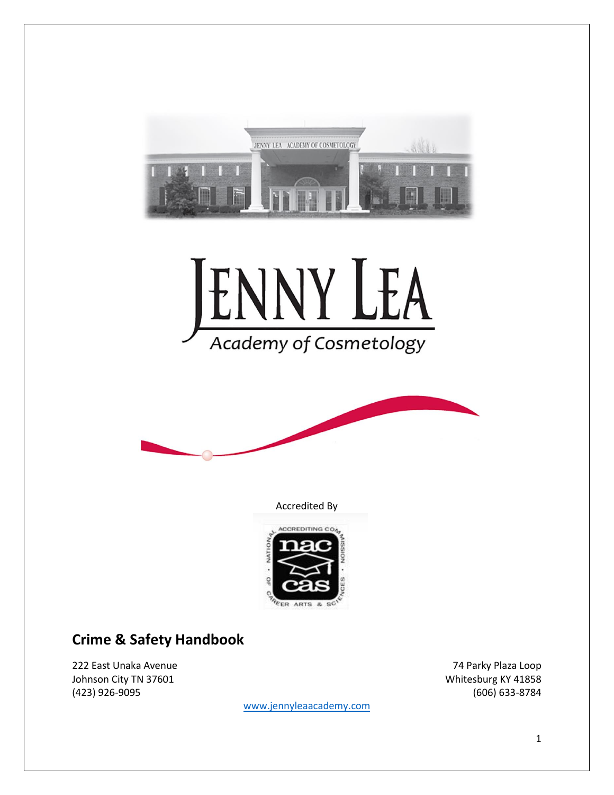





Accredited By



## **Crime & Safety Handbook**

222 East Unaka Avenue 74 Parky Plaza Loop Johnson City TN 37601 Material Control of the United States of Whitesburg KY 41858 (423) 926-9095 (606) 633-8784

[www.jennyleaacademy.com](http://www.jennyleaacademy.com/)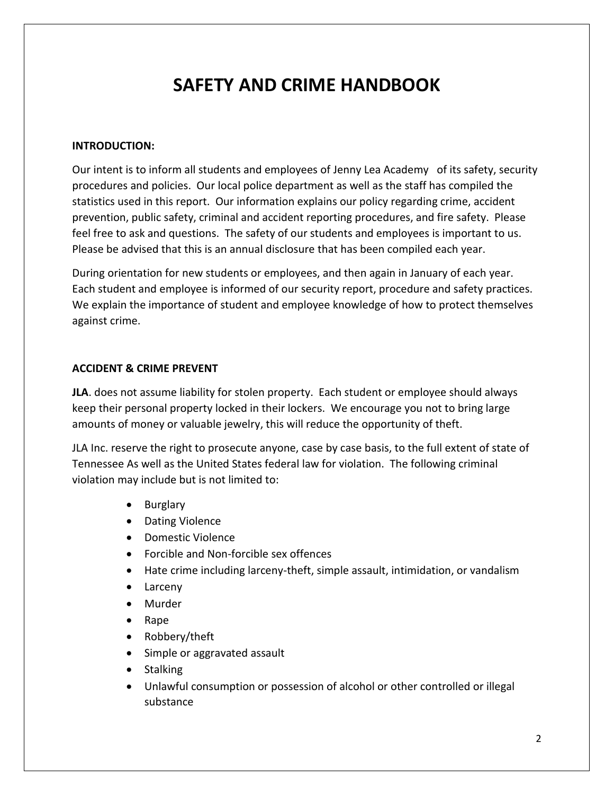# **SAFETY AND CRIME HANDBOOK**

#### **INTRODUCTION:**

Our intent is to inform all students and employees of Jenny Lea Academy of its safety, security procedures and policies. Our local police department as well as the staff has compiled the statistics used in this report. Our information explains our policy regarding crime, accident prevention, public safety, criminal and accident reporting procedures, and fire safety. Please feel free to ask and questions. The safety of our students and employees is important to us. Please be advised that this is an annual disclosure that has been compiled each year.

During orientation for new students or employees, and then again in January of each year. Each student and employee is informed of our security report, procedure and safety practices. We explain the importance of student and employee knowledge of how to protect themselves against crime.

#### **ACCIDENT & CRIME PREVENT**

**JLA**. does not assume liability for stolen property. Each student or employee should always keep their personal property locked in their lockers. We encourage you not to bring large amounts of money or valuable jewelry, this will reduce the opportunity of theft.

JLA Inc. reserve the right to prosecute anyone, case by case basis, to the full extent of state of Tennessee As well as the United States federal law for violation. The following criminal violation may include but is not limited to:

- Burglary
- Dating Violence
- Domestic Violence
- Forcible and Non-forcible sex offences
- Hate crime including larceny-theft, simple assault, intimidation, or vandalism
- Larceny
- Murder
- Rape
- Robbery/theft
- Simple or aggravated assault
- Stalking
- Unlawful consumption or possession of alcohol or other controlled or illegal substance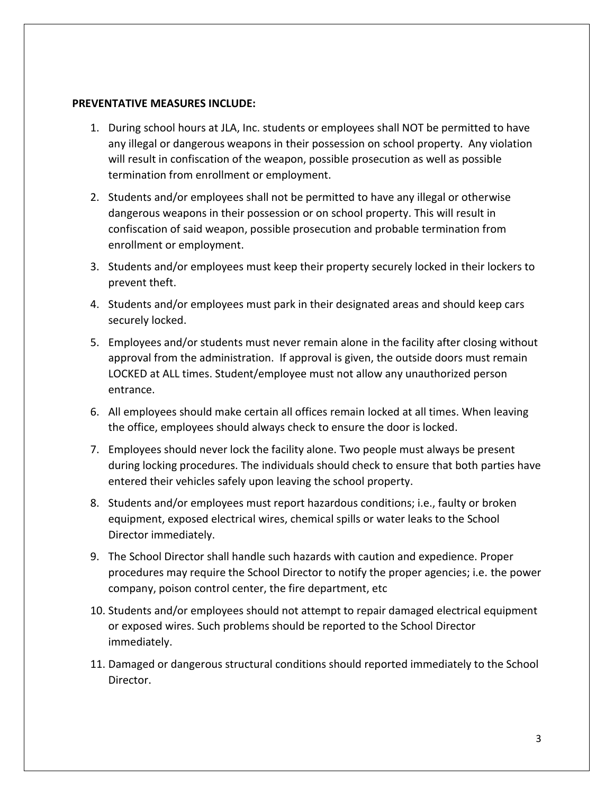#### **PREVENTATIVE MEASURES INCLUDE:**

- 1. During school hours at JLA, Inc. students or employees shall NOT be permitted to have any illegal or dangerous weapons in their possession on school property. Any violation will result in confiscation of the weapon, possible prosecution as well as possible termination from enrollment or employment.
- 2. Students and/or employees shall not be permitted to have any illegal or otherwise dangerous weapons in their possession or on school property. This will result in confiscation of said weapon, possible prosecution and probable termination from enrollment or employment.
- 3. Students and/or employees must keep their property securely locked in their lockers to prevent theft.
- 4. Students and/or employees must park in their designated areas and should keep cars securely locked.
- 5. Employees and/or students must never remain alone in the facility after closing without approval from the administration. If approval is given, the outside doors must remain LOCKED at ALL times. Student/employee must not allow any unauthorized person entrance.
- 6. All employees should make certain all offices remain locked at all times. When leaving the office, employees should always check to ensure the door is locked.
- 7. Employees should never lock the facility alone. Two people must always be present during locking procedures. The individuals should check to ensure that both parties have entered their vehicles safely upon leaving the school property.
- 8. Students and/or employees must report hazardous conditions; i.e., faulty or broken equipment, exposed electrical wires, chemical spills or water leaks to the School Director immediately.
- 9. The School Director shall handle such hazards with caution and expedience. Proper procedures may require the School Director to notify the proper agencies; i.e. the power company, poison control center, the fire department, etc
- 10. Students and/or employees should not attempt to repair damaged electrical equipment or exposed wires. Such problems should be reported to the School Director immediately.
- 11. Damaged or dangerous structural conditions should reported immediately to the School Director.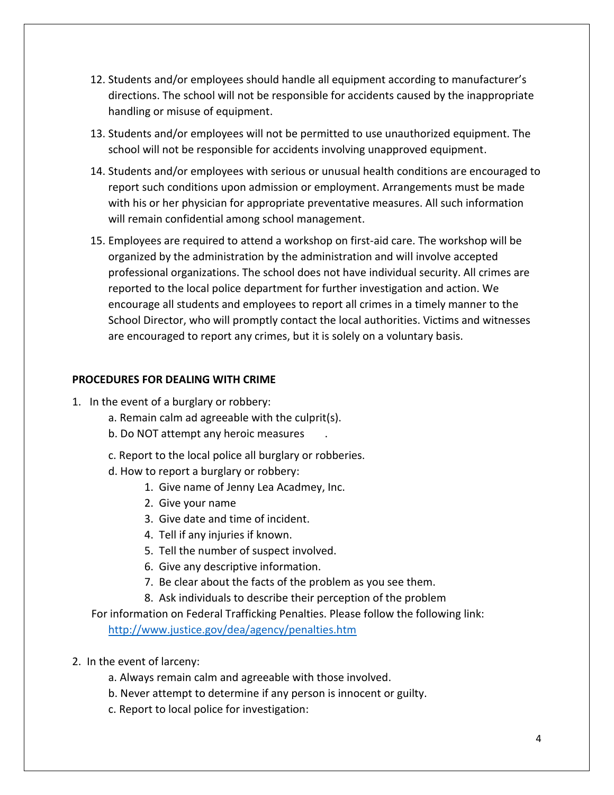- 12. Students and/or employees should handle all equipment according to manufacturer's directions. The school will not be responsible for accidents caused by the inappropriate handling or misuse of equipment.
- 13. Students and/or employees will not be permitted to use unauthorized equipment. The school will not be responsible for accidents involving unapproved equipment.
- 14. Students and/or employees with serious or unusual health conditions are encouraged to report such conditions upon admission or employment. Arrangements must be made with his or her physician for appropriate preventative measures. All such information will remain confidential among school management.
- 15. Employees are required to attend a workshop on first-aid care. The workshop will be organized by the administration by the administration and will involve accepted professional organizations. The school does not have individual security. All crimes are reported to the local police department for further investigation and action. We encourage all students and employees to report all crimes in a timely manner to the School Director, who will promptly contact the local authorities. Victims and witnesses are encouraged to report any crimes, but it is solely on a voluntary basis.

#### **PROCEDURES FOR DEALING WITH CRIME**

- 1. In the event of a burglary or robbery:
	- a. Remain calm ad agreeable with the culprit(s).
	- b. Do NOT attempt any heroic measures .
	- c. Report to the local police all burglary or robberies.
	- d. How to report a burglary or robbery:
		- 1. Give name of Jenny Lea Acadmey, Inc.
		- 2. Give your name
		- 3. Give date and time of incident.
		- 4. Tell if any injuries if known.
		- 5. Tell the number of suspect involved.
		- 6. Give any descriptive information.
		- 7. Be clear about the facts of the problem as you see them.
		- 8. Ask individuals to describe their perception of the problem

 For information on Federal Trafficking Penalties. Please follow the following link: <http://www.justice.gov/dea/agency/penalties.htm>

- 2. In the event of larceny:
	- a. Always remain calm and agreeable with those involved.
	- b. Never attempt to determine if any person is innocent or guilty.
	- c. Report to local police for investigation: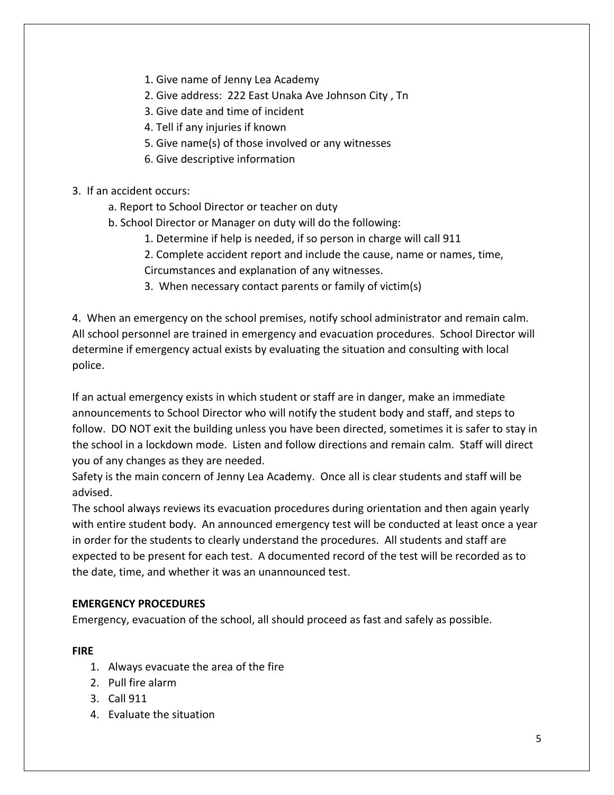- 1. Give name of Jenny Lea Academy
- 2. Give address: 222 East Unaka Ave Johnson City , Tn
- 3. Give date and time of incident
- 4. Tell if any injuries if known
- 5. Give name(s) of those involved or any witnesses
- 6. Give descriptive information
- 3. If an accident occurs:
	- a. Report to School Director or teacher on duty
	- b. School Director or Manager on duty will do the following:
		- 1. Determine if help is needed, if so person in charge will call 911
		- 2. Complete accident report and include the cause, name or names, time, Circumstances and explanation of any witnesses.
		- 3. When necessary contact parents or family of victim(s)

4. When an emergency on the school premises, notify school administrator and remain calm. All school personnel are trained in emergency and evacuation procedures. School Director will determine if emergency actual exists by evaluating the situation and consulting with local police.

If an actual emergency exists in which student or staff are in danger, make an immediate announcements to School Director who will notify the student body and staff, and steps to follow. DO NOT exit the building unless you have been directed, sometimes it is safer to stay in the school in a lockdown mode. Listen and follow directions and remain calm. Staff will direct you of any changes as they are needed.

Safety is the main concern of Jenny Lea Academy. Once all is clear students and staff will be advised.

The school always reviews its evacuation procedures during orientation and then again yearly with entire student body. An announced emergency test will be conducted at least once a year in order for the students to clearly understand the procedures. All students and staff are expected to be present for each test. A documented record of the test will be recorded as to the date, time, and whether it was an unannounced test.

#### **EMERGENCY PROCEDURES**

Emergency, evacuation of the school, all should proceed as fast and safely as possible.

#### **FIRE**

- 1. Always evacuate the area of the fire
- 2. Pull fire alarm
- 3. Call 911
- 4. Evaluate the situation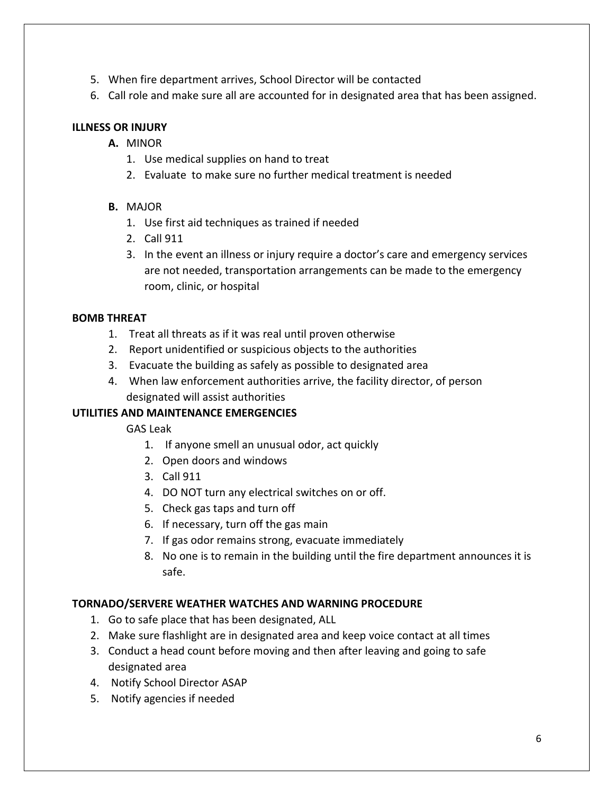- 5. When fire department arrives, School Director will be contacted
- 6. Call role and make sure all are accounted for in designated area that has been assigned.

#### **ILLNESS OR INJURY**

- **A.** MINOR
	- 1. Use medical supplies on hand to treat
	- 2. Evaluate to make sure no further medical treatment is needed

## **B.** MAJOR

- 1. Use first aid techniques as trained if needed
- 2. Call 911
- 3. In the event an illness or injury require a doctor's care and emergency services are not needed, transportation arrangements can be made to the emergency room, clinic, or hospital

## **BOMB THREAT**

- 1. Treat all threats as if it was real until proven otherwise
- 2. Report unidentified or suspicious objects to the authorities
- 3. Evacuate the building as safely as possible to designated area
- 4. When law enforcement authorities arrive, the facility director, of person designated will assist authorities

## **UTILITIES AND MAINTENANCE EMERGENCIES**

GAS Leak

- 1. If anyone smell an unusual odor, act quickly
- 2. Open doors and windows
- 3. Call 911
- 4. DO NOT turn any electrical switches on or off.
- 5. Check gas taps and turn off
- 6. If necessary, turn off the gas main
- 7. If gas odor remains strong, evacuate immediately
- 8. No one is to remain in the building until the fire department announces it is safe.

## **TORNADO/SERVERE WEATHER WATCHES AND WARNING PROCEDURE**

- 1. Go to safe place that has been designated, ALL
- 2. Make sure flashlight are in designated area and keep voice contact at all times
- 3. Conduct a head count before moving and then after leaving and going to safe designated area
- 4. Notify School Director ASAP
- 5. Notify agencies if needed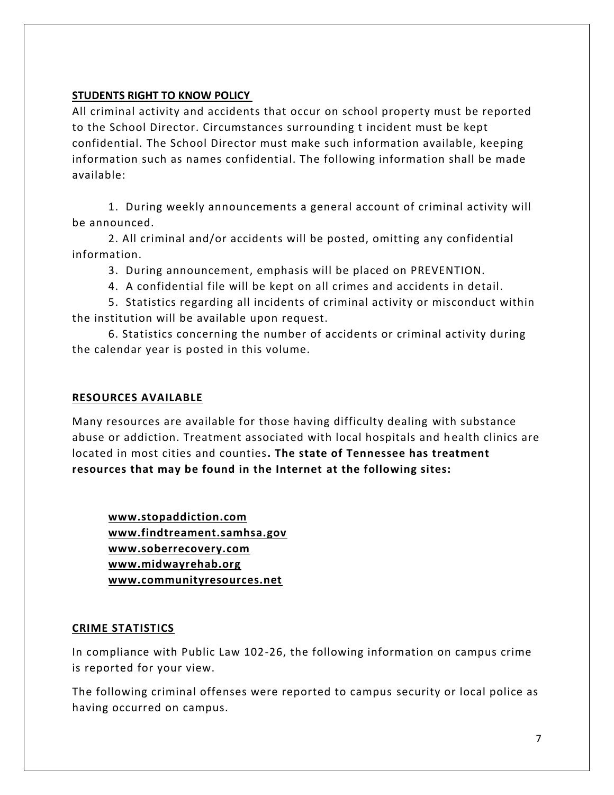#### **STUDENTS RIGHT TO KNOW POLICY**

All criminal activity and accidents that occur on school property must be reported to the School Director. Circumstances surrounding t incident must be kept confidential. The School Director must make such information available, keeping information such as names confidential. The following information shall be made available:

1. During weekly announcements a general account of criminal activity will be announced.

2. All criminal and/or accidents will be posted, omitting any confidential information.

3. During announcement, emphasis will be placed on PREVENTION.

4. A confidential file will be kept on all crimes and accidents in detail.

5. Statistics regarding all incidents of criminal activity or misconduct within the institution will be available upon request.

6. Statistics concerning the number of accidents or criminal activity during the calendar year is posted in this volume.

## **RESOURCES AVAILABLE**

Many resources are available for those having difficulty dealing with substance abuse or addiction. Treatment associated with local hospitals and h ealth clinics are located in most cities and counties**. The state of Tennessee has treatment resources that may be found in the Internet at the following sites:** 

**[www.stopaddiction.com](http://www.stopaddiction.com/)  [www.findtreament.samhsa.gov](http://www.findtreament.samhsa.gov/)  [www.soberrecovery.com](http://www.soberrecovery.com/)  [www.midwayrehab.org](http://www.midwayrehab.org/) [www.communityresources.net](http://www.communityresources.net/)** 

#### **CRIME STATISTICS**

In compliance with Public Law 102-26, the following information on campus crime is reported for your view.

The following criminal offenses were reported to campus security or local police as having occurred on campus.